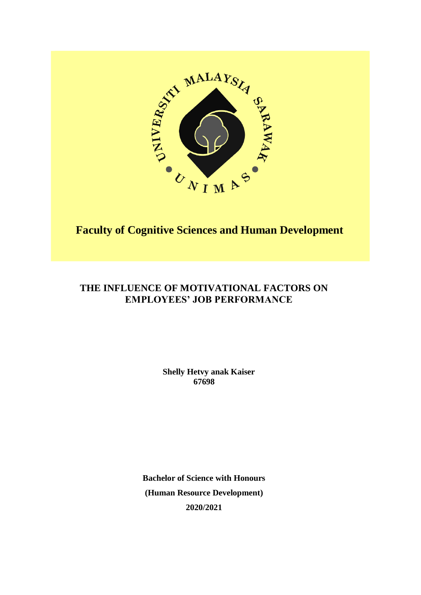

# **Faculty of Cognitive Sciences and Human Development**

# **THE INFLUENCE OF MOTIVATIONAL FACTORS ON EMPLOYEES' JOB PERFORMANCE**

**Shelly Hetvy anak Kaiser 67698**

**Bachelor of Science with Honours (Human Resource Development) 2020/2021**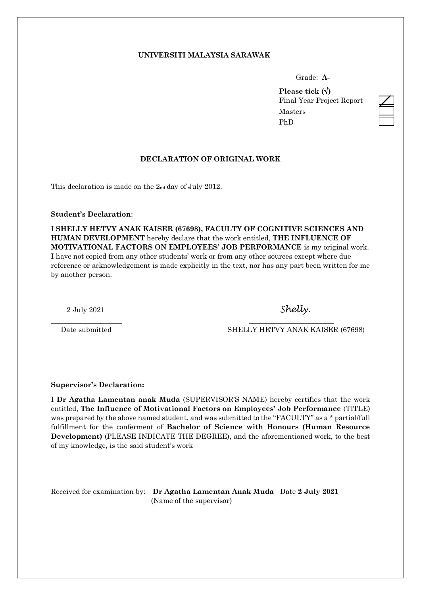## **UNIVERSITI MALAYSIA SARAWAK**

Grade: **A-**

**Please tick ()** Final Year Project Report Masters PhD

# **DECLARATION OF ORIGINAL WORK**

This declaration is made on the  $2<sub>nd</sub>$  day of July 2012.

#### **Student's Declaration**:

I **SHELLY HETVY ANAK KAISER (67698), FACULTY OF COGNITIVE SCIENCES AND HUMAN DEVELOPMENT** hereby declare that the work entitled, **THE INFLUENCE OF MOTIVATIONAL FACTORS ON EMPLOYEES' JOB PERFORMANCE** is my original work. I have not copied from any other students' work or from any other sources except where due reference or acknowledgement is made explicitly in the text, nor has any part been written for me by another person.

\_\_\_\_\_\_\_\_\_\_\_\_\_\_\_\_\_\_\_\_ \_\_\_\_\_\_\_\_\_\_\_\_\_\_\_\_\_\_\_\_\_\_\_\_

2 July 2021 *Shelly.*

Date submitted SHELLY HETVY ANAK KAISER (67698)

**Supervisor's Declaration:**

I **Dr Agatha Lamentan anak Muda** (SUPERVISOR'S NAME) hereby certifies that the work entitled, **The Influence of Motivational Factors on Employees' Job Performance** (TITLE) was prepared by the above named student, and was submitted to the "FACULTY" as a \* partial/full fulfillment for the conferment of **Bachelor of Science with Honours (Human Resource Development)** (PLEASE INDICATE THE DEGREE), and the aforementioned work, to the best of my knowledge, is the said student's work

Received for examination by: **Dr Agatha Lamentan Anak Muda** Date **2 July 2021** (Name of the supervisor)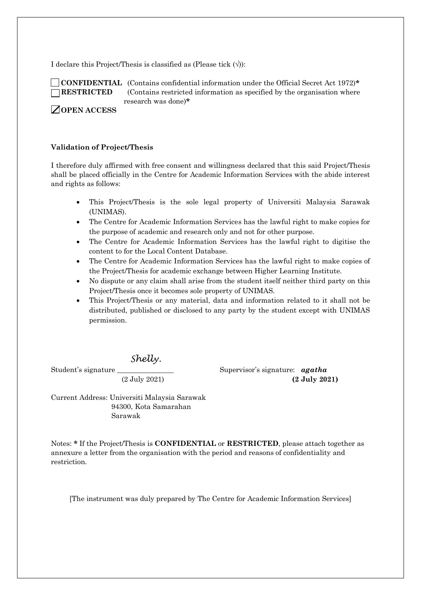I declare this Project/Thesis is classified as (Please tick  $(\forall)$ ):



 **CONFIDENTIAL** (Contains confidential information under the Official Secret Act 1972)**\* RESTRICTED** (Contains restricted information as specified by the organisation where research was done)**\***

**OPEN ACCESS**

## **Validation of Project/Thesis**

I therefore duly affirmed with free consent and willingness declared that this said Project/Thesis shall be placed officially in the Centre for Academic Information Services with the abide interest and rights as follows:

- This Project/Thesis is the sole legal property of Universiti Malaysia Sarawak (UNIMAS).
- The Centre for Academic Information Services has the lawful right to make copies for the purpose of academic and research only and not for other purpose.
- The Centre for Academic Information Services has the lawful right to digitise the content to for the Local Content Database.
- The Centre for Academic Information Services has the lawful right to make copies of the Project/Thesis for academic exchange between Higher Learning Institute.
- No dispute or any claim shall arise from the student itself neither third party on this Project/Thesis once it becomes sole property of UNIMAS.
- This Project/Thesis or any material, data and information related to it shall not be distributed, published or disclosed to any party by the student except with UNIMAS permission.

*Shelly.*

Student's signature \_\_\_\_\_\_\_\_\_\_\_\_\_\_\_\_ Supervisor's signature: *agatha* (2 July 2021) **(2 July 2021)**

Current Address: Universiti Malaysia Sarawak 94300, Kota Samarahan Sarawak

Notes: **\*** If the Project/Thesis is **CONFIDENTIAL** or **RESTRICTED**, please attach together as annexure a letter from the organisation with the period and reasons of confidentiality and restriction.

[The instrument was duly prepared by The Centre for Academic Information Services]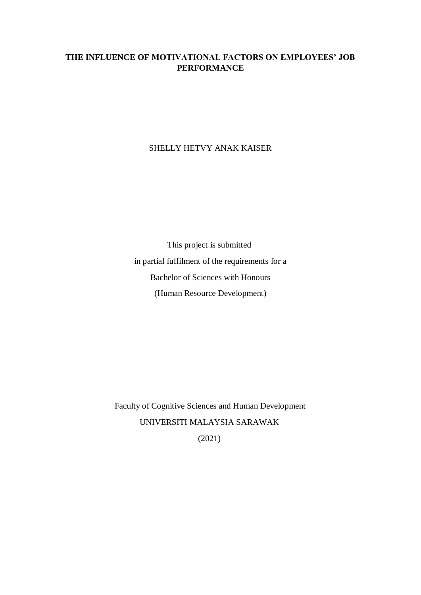# **THE INFLUENCE OF MOTIVATIONAL FACTORS ON EMPLOYEES' JOB PERFORMANCE**

SHELLY HETVY ANAK KAISER

This project is submitted in partial fulfilment of the requirements for a Bachelor of Sciences with Honours (Human Resource Development)

Faculty of Cognitive Sciences and Human Development UNIVERSITI MALAYSIA SARAWAK (2021)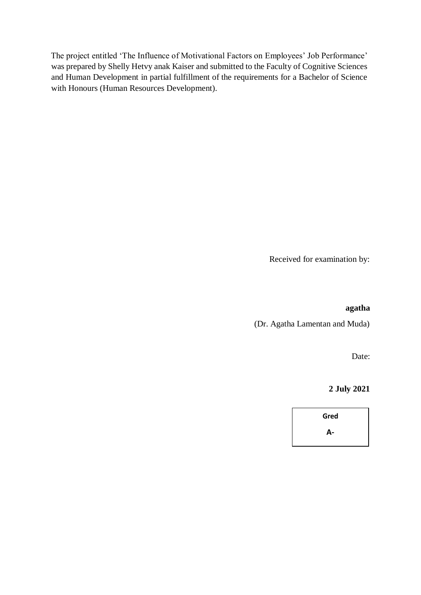The project entitled 'The Influence of Motivational Factors on Employees' Job Performance' was prepared by Shelly Hetvy anak Kaiser and submitted to the Faculty of Cognitive Sciences and Human Development in partial fulfillment of the requirements for a Bachelor of Science with Honours (Human Resources Development).

Received for examination by:

## **agatha**

(Dr. Agatha Lamentan and Muda)

Date:

**2 July 2021**

**Gred A-**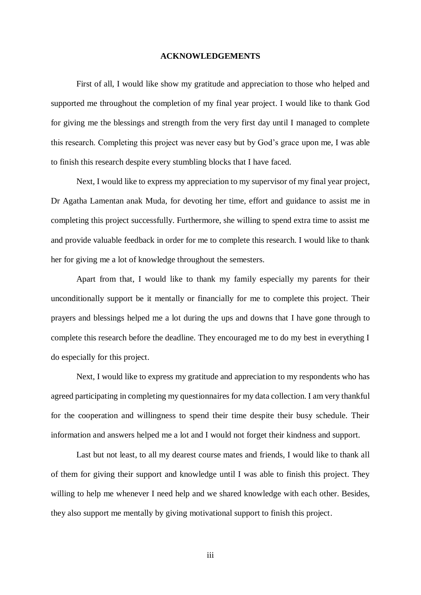#### **ACKNOWLEDGEMENTS**

<span id="page-5-0"></span>First of all, I would like show my gratitude and appreciation to those who helped and supported me throughout the completion of my final year project. I would like to thank God for giving me the blessings and strength from the very first day until I managed to complete this research. Completing this project was never easy but by God's grace upon me, I was able to finish this research despite every stumbling blocks that I have faced.

Next, I would like to express my appreciation to my supervisor of my final year project, Dr Agatha Lamentan anak Muda, for devoting her time, effort and guidance to assist me in completing this project successfully. Furthermore, she willing to spend extra time to assist me and provide valuable feedback in order for me to complete this research. I would like to thank her for giving me a lot of knowledge throughout the semesters.

Apart from that, I would like to thank my family especially my parents for their unconditionally support be it mentally or financially for me to complete this project. Their prayers and blessings helped me a lot during the ups and downs that I have gone through to complete this research before the deadline. They encouraged me to do my best in everything I do especially for this project.

Next, I would like to express my gratitude and appreciation to my respondents who has agreed participating in completing my questionnaires for my data collection. I am very thankful for the cooperation and willingness to spend their time despite their busy schedule. Their information and answers helped me a lot and I would not forget their kindness and support.

Last but not least, to all my dearest course mates and friends, I would like to thank all of them for giving their support and knowledge until I was able to finish this project. They willing to help me whenever I need help and we shared knowledge with each other. Besides, they also support me mentally by giving motivational support to finish this project.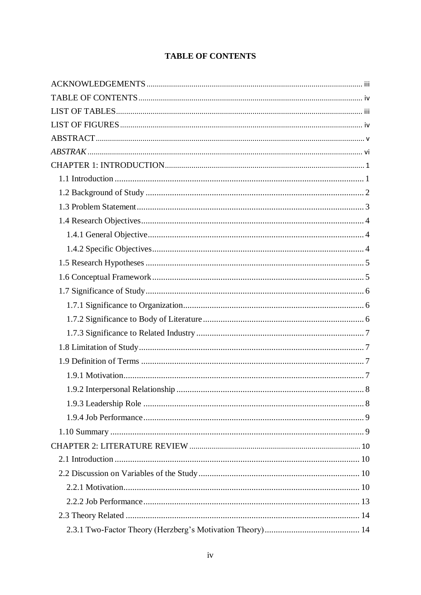# **TABLE OF CONTENTS**

<span id="page-6-0"></span>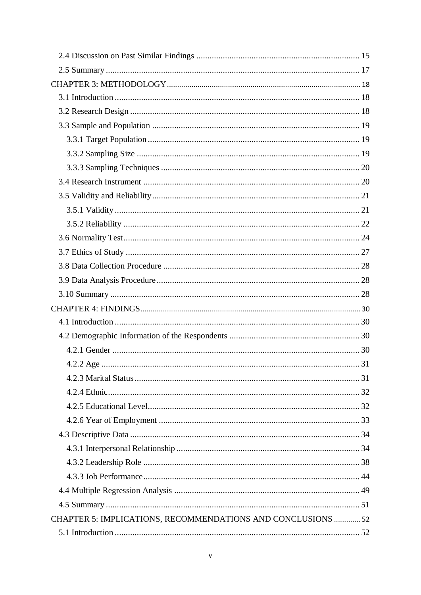| $4.2.2$ Age                                                  |  |
|--------------------------------------------------------------|--|
|                                                              |  |
|                                                              |  |
|                                                              |  |
|                                                              |  |
|                                                              |  |
|                                                              |  |
|                                                              |  |
|                                                              |  |
|                                                              |  |
|                                                              |  |
| CHAPTER 5: IMPLICATIONS, RECOMMENDATIONS AND CONCLUSIONS  52 |  |
|                                                              |  |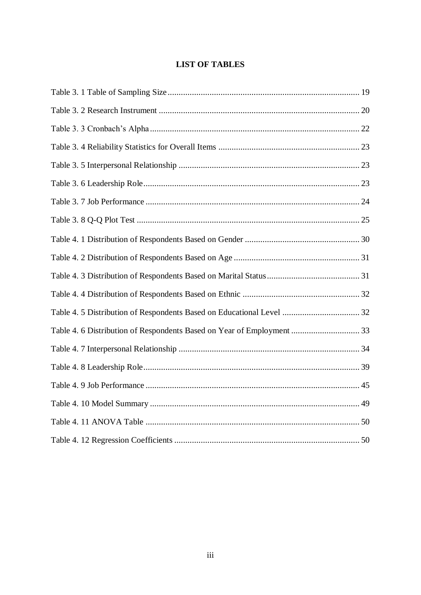# **LIST OF TABLES**

<span id="page-9-0"></span>

| Table 4. 6 Distribution of Respondents Based on Year of Employment  33 |  |
|------------------------------------------------------------------------|--|
|                                                                        |  |
|                                                                        |  |
|                                                                        |  |
|                                                                        |  |
|                                                                        |  |
|                                                                        |  |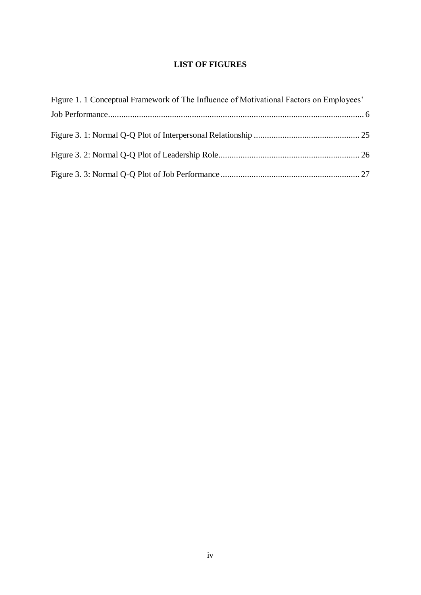# **LIST OF FIGURES**

<span id="page-10-0"></span>

| Figure 1. 1 Conceptual Framework of The Influence of Motivational Factors on Employees' |  |
|-----------------------------------------------------------------------------------------|--|
|                                                                                         |  |
|                                                                                         |  |
|                                                                                         |  |
|                                                                                         |  |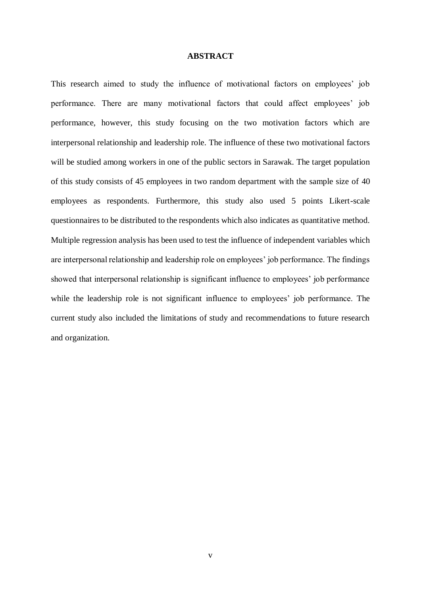#### **ABSTRACT**

<span id="page-11-0"></span>This research aimed to study the influence of motivational factors on employees' job performance. There are many motivational factors that could affect employees' job performance, however, this study focusing on the two motivation factors which are interpersonal relationship and leadership role. The influence of these two motivational factors will be studied among workers in one of the public sectors in Sarawak. The target population of this study consists of 45 employees in two random department with the sample size of 40 employees as respondents. Furthermore, this study also used 5 points Likert-scale questionnaires to be distributed to the respondents which also indicates as quantitative method. Multiple regression analysis has been used to test the influence of independent variables which are interpersonal relationship and leadership role on employees' job performance. The findings showed that interpersonal relationship is significant influence to employees' job performance while the leadership role is not significant influence to employees' job performance. The current study also included the limitations of study and recommendations to future research and organization.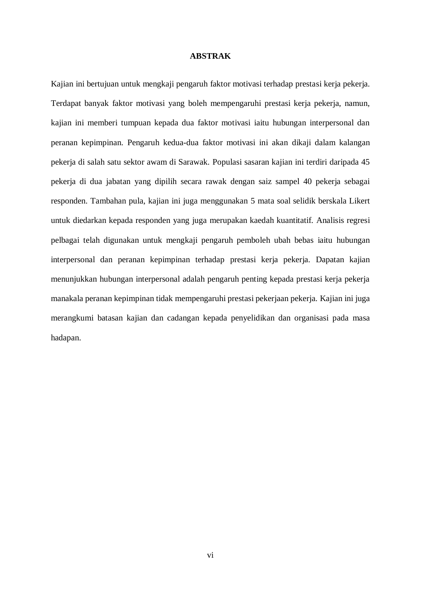#### **ABSTRAK**

<span id="page-12-0"></span>Kajian ini bertujuan untuk mengkaji pengaruh faktor motivasi terhadap prestasi kerja pekerja. Terdapat banyak faktor motivasi yang boleh mempengaruhi prestasi kerja pekerja, namun, kajian ini memberi tumpuan kepada dua faktor motivasi iaitu hubungan interpersonal dan peranan kepimpinan. Pengaruh kedua-dua faktor motivasi ini akan dikaji dalam kalangan pekerja di salah satu sektor awam di Sarawak. Populasi sasaran kajian ini terdiri daripada 45 pekerja di dua jabatan yang dipilih secara rawak dengan saiz sampel 40 pekerja sebagai responden. Tambahan pula, kajian ini juga menggunakan 5 mata soal selidik berskala Likert untuk diedarkan kepada responden yang juga merupakan kaedah kuantitatif. Analisis regresi pelbagai telah digunakan untuk mengkaji pengaruh pemboleh ubah bebas iaitu hubungan interpersonal dan peranan kepimpinan terhadap prestasi kerja pekerja. Dapatan kajian menunjukkan hubungan interpersonal adalah pengaruh penting kepada prestasi kerja pekerja manakala peranan kepimpinan tidak mempengaruhi prestasi pekerjaan pekerja. Kajian ini juga merangkumi batasan kajian dan cadangan kepada penyelidikan dan organisasi pada masa hadapan.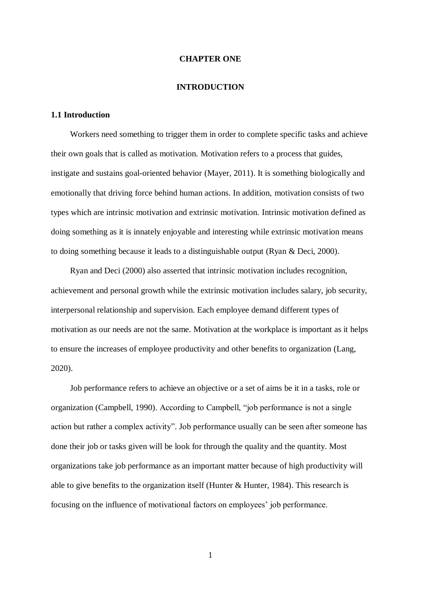#### **CHAPTER ONE**

#### **INTRODUCTION**

# <span id="page-13-1"></span><span id="page-13-0"></span>**1.1 Introduction**

Workers need something to trigger them in order to complete specific tasks and achieve their own goals that is called as motivation. Motivation refers to a process that guides, instigate and sustains goal-oriented behavior (Mayer, 2011). It is something biologically and emotionally that driving force behind human actions. In addition, motivation consists of two types which are intrinsic motivation and extrinsic motivation. Intrinsic motivation defined as doing something as it is innately enjoyable and interesting while extrinsic motivation means to doing something because it leads to a distinguishable output (Ryan & Deci, 2000).

Ryan and Deci (2000) also asserted that intrinsic motivation includes recognition, achievement and personal growth while the extrinsic motivation includes salary, job security, interpersonal relationship and supervision. Each employee demand different types of motivation as our needs are not the same. Motivation at the workplace is important as it helps to ensure the increases of employee productivity and other benefits to organization (Lang, 2020).

Job performance refers to achieve an objective or a set of aims be it in a tasks, role or organization (Campbell, 1990). According to Campbell, "job performance is not a single action but rather a complex activity". Job performance usually can be seen after someone has done their job or tasks given will be look for through the quality and the quantity. Most organizations take job performance as an important matter because of high productivity will able to give benefits to the organization itself (Hunter & Hunter, 1984). This research is focusing on the influence of motivational factors on employees' job performance.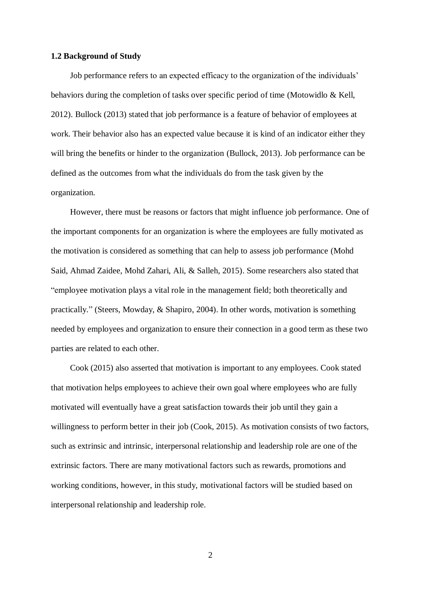#### <span id="page-14-0"></span>**1.2 Background of Study**

Job performance refers to an expected efficacy to the organization of the individuals' behaviors during the completion of tasks over specific period of time (Motowidlo & Kell, 2012). Bullock (2013) stated that job performance is a feature of behavior of employees at work. Their behavior also has an expected value because it is kind of an indicator either they will bring the benefits or hinder to the organization (Bullock, 2013). Job performance can be defined as the outcomes from what the individuals do from the task given by the organization.

However, there must be reasons or factors that might influence job performance. One of the important components for an organization is where the employees are fully motivated as the motivation is considered as something that can help to assess job performance (Mohd Said, Ahmad Zaidee, Mohd Zahari, Ali, & Salleh, 2015). Some researchers also stated that "employee motivation plays a vital role in the management field; both theoretically and practically." (Steers, Mowday, & Shapiro, 2004). In other words, motivation is something needed by employees and organization to ensure their connection in a good term as these two parties are related to each other.

Cook (2015) also asserted that motivation is important to any employees. Cook stated that motivation helps employees to achieve their own goal where employees who are fully motivated will eventually have a great satisfaction towards their job until they gain a willingness to perform better in their job (Cook, 2015). As motivation consists of two factors, such as extrinsic and intrinsic, interpersonal relationship and leadership role are one of the extrinsic factors. There are many motivational factors such as rewards, promotions and working conditions, however, in this study, motivational factors will be studied based on interpersonal relationship and leadership role.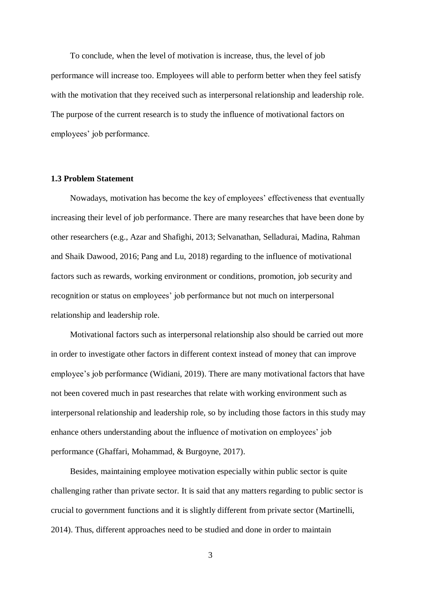To conclude, when the level of motivation is increase, thus, the level of job performance will increase too. Employees will able to perform better when they feel satisfy with the motivation that they received such as interpersonal relationship and leadership role. The purpose of the current research is to study the influence of motivational factors on employees' job performance.

#### <span id="page-15-0"></span>**1.3 Problem Statement**

Nowadays, motivation has become the key of employees' effectiveness that eventually increasing their level of job performance. There are many researches that have been done by other researchers (e.g., Azar and Shafighi, 2013; Selvanathan, Selladurai, Madina, Rahman and Shaik Dawood, 2016; Pang and Lu, 2018) regarding to the influence of motivational factors such as rewards, working environment or conditions, promotion, job security and recognition or status on employees' job performance but not much on interpersonal relationship and leadership role.

Motivational factors such as interpersonal relationship also should be carried out more in order to investigate other factors in different context instead of money that can improve employee's job performance (Widiani, 2019). There are many motivational factors that have not been covered much in past researches that relate with working environment such as interpersonal relationship and leadership role, so by including those factors in this study may enhance others understanding about the influence of motivation on employees' job performance (Ghaffari, Mohammad, & Burgoyne, 2017).

Besides, maintaining employee motivation especially within public sector is quite challenging rather than private sector. It is said that any matters regarding to public sector is crucial to government functions and it is slightly different from private sector (Martinelli, 2014). Thus, different approaches need to be studied and done in order to maintain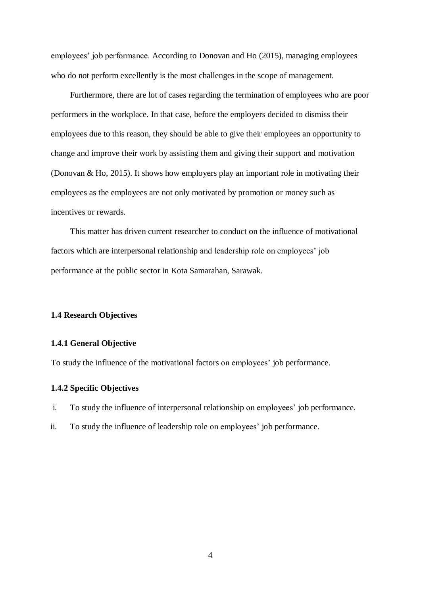employees' job performance. According to Donovan and Ho (2015), managing employees who do not perform excellently is the most challenges in the scope of management.

Furthermore, there are lot of cases regarding the termination of employees who are poor performers in the workplace. In that case, before the employers decided to dismiss their employees due to this reason, they should be able to give their employees an opportunity to change and improve their work by assisting them and giving their support and motivation (Donovan & Ho, 2015). It shows how employers play an important role in motivating their employees as the employees are not only motivated by promotion or money such as incentives or rewards.

This matter has driven current researcher to conduct on the influence of motivational factors which are interpersonal relationship and leadership role on employees' job performance at the public sector in Kota Samarahan, Sarawak.

## <span id="page-16-0"></span>**1.4 Research Objectives**

### <span id="page-16-1"></span>**1.4.1 General Objective**

To study the influence of the motivational factors on employees' job performance.

### <span id="page-16-2"></span>**1.4.2 Specific Objectives**

- i. To study the influence of interpersonal relationship on employees' job performance.
- ii. To study the influence of leadership role on employees' job performance.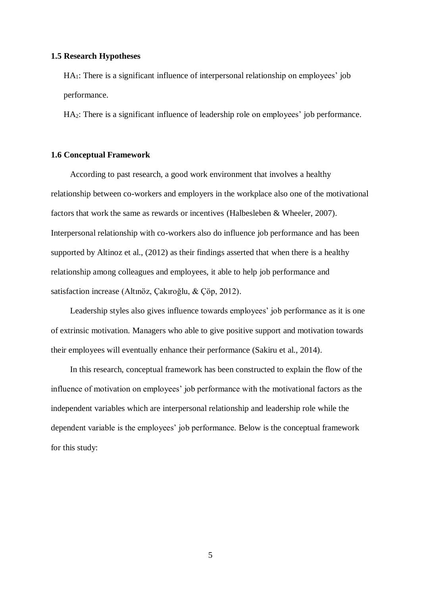### <span id="page-17-0"></span>**1.5 Research Hypotheses**

HA1: There is a significant influence of interpersonal relationship on employees' job performance.

HA2: There is a significant influence of leadership role on employees' job performance.

#### <span id="page-17-1"></span>**1.6 Conceptual Framework**

According to past research, a good work environment that involves a healthy relationship between co-workers and employers in the workplace also one of the motivational factors that work the same as rewards or incentives (Halbesleben & Wheeler, 2007). Interpersonal relationship with co-workers also do influence job performance and has been supported by Altinoz et al., (2012) as their findings asserted that when there is a healthy relationship among colleagues and employees, it able to help job performance and satisfaction increase (Altınöz, Çakıroğlu, & Çöp, 2012).

Leadership styles also gives influence towards employees' job performance as it is one of extrinsic motivation. Managers who able to give positive support and motivation towards their employees will eventually enhance their performance (Sakiru et al., 2014).

In this research, conceptual framework has been constructed to explain the flow of the influence of motivation on employees' job performance with the motivational factors as the independent variables which are interpersonal relationship and leadership role while the dependent variable is the employees' job performance. Below is the conceptual framework for this study: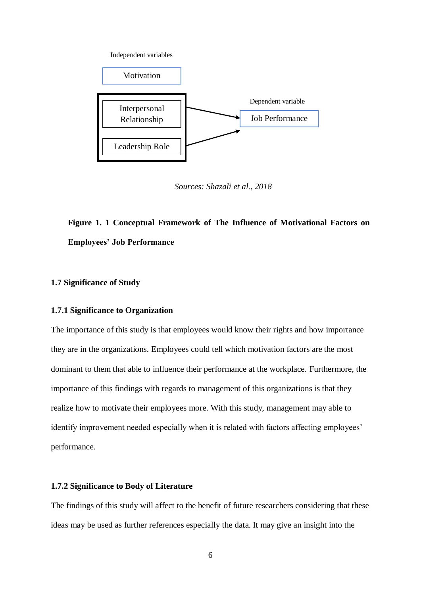Independent variables



*Sources: Shazali et al., 2018*

# <span id="page-18-3"></span>**Figure 1. 1 Conceptual Framework of The Influence of Motivational Factors on Employees' Job Performance**

# <span id="page-18-0"></span>**1.7 Significance of Study**

#### <span id="page-18-1"></span>**1.7.1 Significance to Organization**

The importance of this study is that employees would know their rights and how importance they are in the organizations. Employees could tell which motivation factors are the most dominant to them that able to influence their performance at the workplace. Furthermore, the importance of this findings with regards to management of this organizations is that they realize how to motivate their employees more. With this study, management may able to identify improvement needed especially when it is related with factors affecting employees' performance.

## <span id="page-18-2"></span>**1.7.2 Significance to Body of Literature**

The findings of this study will affect to the benefit of future researchers considering that these ideas may be used as further references especially the data. It may give an insight into the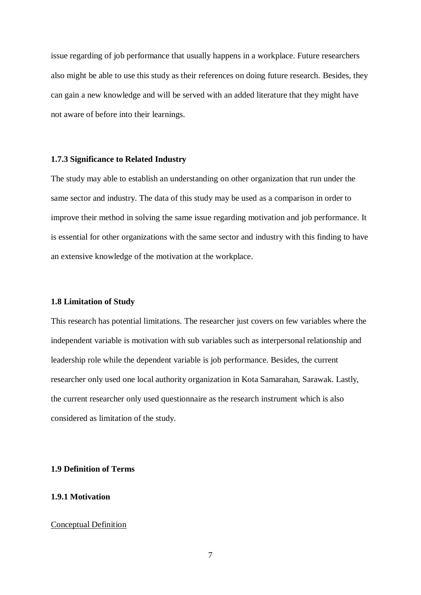issue regarding of job performance that usually happens in a workplace. Future researchers also might be able to use this study as their references on doing future research. Besides, they can gain a new knowledge and will be served with an added literature that they might have not aware of before into their learnings.

# <span id="page-19-0"></span>**1.7.3 Significance to Related Industry**

The study may able to establish an understanding on other organization that run under the same sector and industry. The data of this study may be used as a comparison in order to improve their method in solving the same issue regarding motivation and job performance. It is essential for other organizations with the same sector and industry with this finding to have an extensive knowledge of the motivation at the workplace.

#### <span id="page-19-1"></span>**1.8 Limitation of Study**

This research has potential limitations. The researcher just covers on few variables where the independent variable is motivation with sub variables such as interpersonal relationship and leadership role while the dependent variable is job performance. Besides, the current researcher only used one local authority organization in Kota Samarahan, Sarawak. Lastly, the current researcher only used questionnaire as the research instrument which is also considered as limitation of the study.

# <span id="page-19-2"></span>**1.9 Definition of Terms**

## <span id="page-19-3"></span>**1.9.1 Motivation**

# Conceptual Definition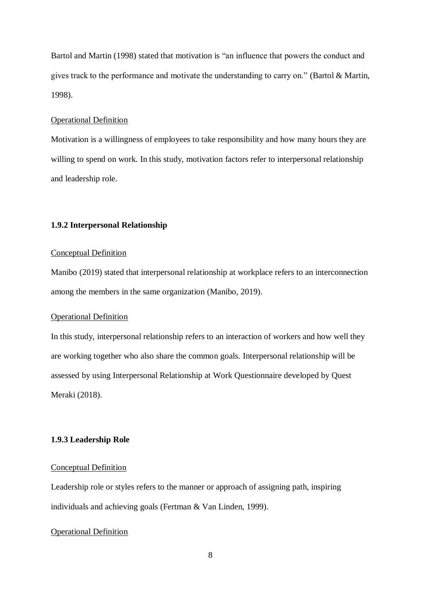Bartol and Martin (1998) stated that motivation is "an influence that powers the conduct and gives track to the performance and motivate the understanding to carry on." (Bartol & Martin, 1998).

# Operational Definition

Motivation is a willingness of employees to take responsibility and how many hours they are willing to spend on work. In this study, motivation factors refer to interpersonal relationship and leadership role.

# <span id="page-20-0"></span>**1.9.2 Interpersonal Relationship**

#### Conceptual Definition

Manibo (2019) stated that interpersonal relationship at workplace refers to an interconnection among the members in the same organization (Manibo, 2019).

#### Operational Definition

In this study, interpersonal relationship refers to an interaction of workers and how well they are working together who also share the common goals. Interpersonal relationship will be assessed by using Interpersonal Relationship at Work Questionnaire developed by Quest Meraki (2018).

# <span id="page-20-1"></span>**1.9.3 Leadership Role**

# Conceptual Definition

Leadership role or styles refers to the manner or approach of assigning path, inspiring individuals and achieving goals (Fertman & Van Linden, 1999).

# Operational Definition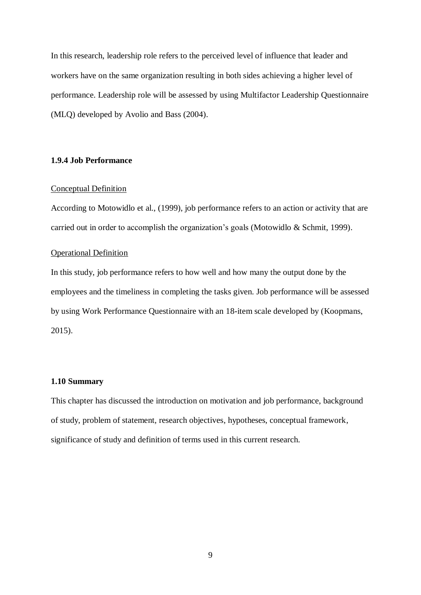In this research, leadership role refers to the perceived level of influence that leader and workers have on the same organization resulting in both sides achieving a higher level of performance. Leadership role will be assessed by using Multifactor Leadership Questionnaire (MLQ) developed by Avolio and Bass (2004).

# <span id="page-21-0"></span>**1.9.4 Job Performance**

#### Conceptual Definition

According to Motowidlo et al., (1999), job performance refers to an action or activity that are carried out in order to accomplish the organization's goals (Motowidlo & Schmit, 1999).

## Operational Definition

In this study, job performance refers to how well and how many the output done by the employees and the timeliness in completing the tasks given. Job performance will be assessed by using Work Performance Questionnaire with an 18-item scale developed by (Koopmans, 2015).

#### <span id="page-21-1"></span>**1.10 Summary**

This chapter has discussed the introduction on motivation and job performance, background of study, problem of statement, research objectives, hypotheses, conceptual framework, significance of study and definition of terms used in this current research.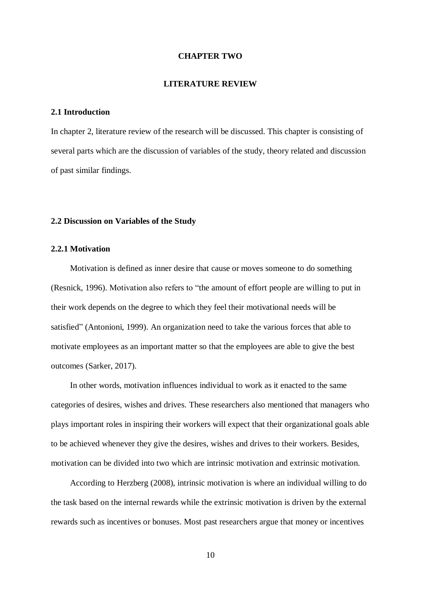#### **CHAPTER TWO**

## **LITERATURE REVIEW**

# <span id="page-22-1"></span><span id="page-22-0"></span>**2.1 Introduction**

In chapter 2, literature review of the research will be discussed. This chapter is consisting of several parts which are the discussion of variables of the study, theory related and discussion of past similar findings.

#### <span id="page-22-2"></span>**2.2 Discussion on Variables of the Study**

# <span id="page-22-3"></span>**2.2.1 Motivation**

Motivation is defined as inner desire that cause or moves someone to do something (Resnick, 1996). Motivation also refers to "the amount of effort people are willing to put in their work depends on the degree to which they feel their motivational needs will be satisfied" (Antonioni, 1999). An organization need to take the various forces that able to motivate employees as an important matter so that the employees are able to give the best outcomes (Sarker, 2017).

In other words, motivation influences individual to work as it enacted to the same categories of desires, wishes and drives. These researchers also mentioned that managers who plays important roles in inspiring their workers will expect that their organizational goals able to be achieved whenever they give the desires, wishes and drives to their workers. Besides, motivation can be divided into two which are intrinsic motivation and extrinsic motivation.

According to Herzberg (2008), intrinsic motivation is where an individual willing to do the task based on the internal rewards while the extrinsic motivation is driven by the external rewards such as incentives or bonuses. Most past researchers argue that money or incentives